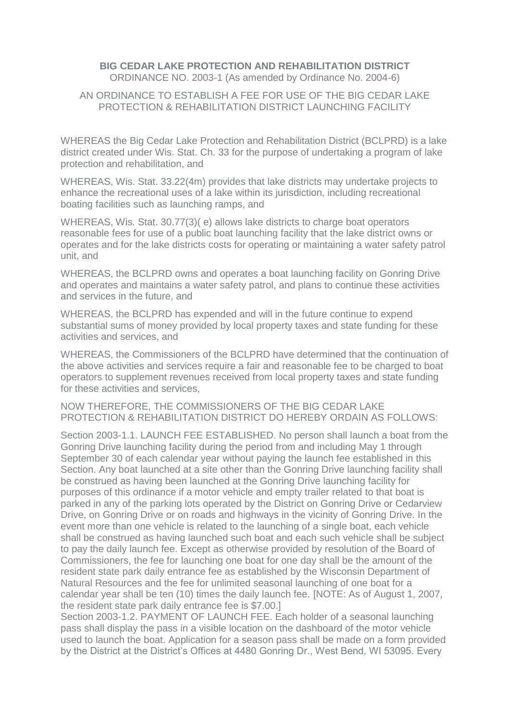## **BIG CEDAR LAKE PROTECTION AND REHABILITATION DISTRICT** ORDINANCE NO. 2003-1 (As amended by Ordinance No. 2004-6)

## AN ORDINANCE TO ESTABLISH A FEE FOR USE OF THE BIG CEDAR LAKE PROTECTION & REHABILITATION DISTRICT LAUNCHING FACILITY

WHEREAS the Big Cedar Lake Protection and Rehabilitation District (BCLPRD) is a lake district created under Wis. Stat. Ch. 33 for the purpose of undertaking a program of lake protection and rehabilitation, and

WHEREAS, Wis. Stat. 33.22(4m) provides that lake districts may undertake projects to enhance the recreational uses of a lake within its jurisdiction, including recreational boating facilities such as launching ramps, and

WHEREAS, Wis. Stat. 30.77(3)( e) allows lake districts to charge boat operators reasonable fees for use of a public boat launching facility that the lake district owns or operates and for the lake districts costs for operating or maintaining a water safety patrol unit, and

WHEREAS, the BCLPRD owns and operates a boat launching facility on Gonring Drive and operates and maintains a water safety patrol, and plans to continue these activities and services in the future, and

WHEREAS, the BCLPRD has expended and will in the future continue to expend substantial sums of money provided by local property taxes and state funding for these activities and services, and

WHEREAS, the Commissioners of the BCLPRD have determined that the continuation of the above activities and services require a fair and reasonable fee to be charged to boat operators to supplement revenues received from local property taxes and state funding for these activities and services,

NOW THEREFORE, THE COMMISSIONERS OF THE BIG CEDAR LAKE PROTECTION & REHABILITATION DISTRICT DO HEREBY ORDAIN AS FOLLOWS:

Section 2003-1.1. LAUNCH FEE ESTABLISHED. No person shall launch a boat from the Gonring Drive launching facility during the period from and including May 1 through September 30 of each calendar year without paying the launch fee established in this Section. Any boat launched at a site other than the Gonring Drive launching facility shall be construed as having been launched at the Gonring Drive launching facility for purposes of this ordinance if a motor vehicle and empty trailer related to that boat is parked in any of the parking lots operated by the District on Gonring Drive or Cedarview Drive, on Gonring Drive or on roads and highways in the vicinity of Gonring Drive. In the event more than one vehicle is related to the launching of a single boat, each vehicle shall be construed as having launched such boat and each such vehicle shall be subject to pay the daily launch fee. Except as otherwise provided by resolution of the Board of Commissioners, the fee for launching one boat for one day shall be the amount of the resident state park daily entrance fee as established by the Wisconsin Department of Natural Resources and the fee for unlimited seasonal launching of one boat for a calendar year shall be ten (10) times the daily launch fee. [NOTE: As of August 1, 2007, the resident state park daily entrance fee is \$7.00.]

Section 2003-1.2. PAYMENT OF LAUNCH FEE. Each holder of a seasonal launching pass shall display the pass in a visible location on the dashboard of the motor vehicle used to launch the boat. Application for a season pass shall be made on a form provided by the District at the District's Offices at 4480 Gonring Dr., West Bend, WI 53095. Every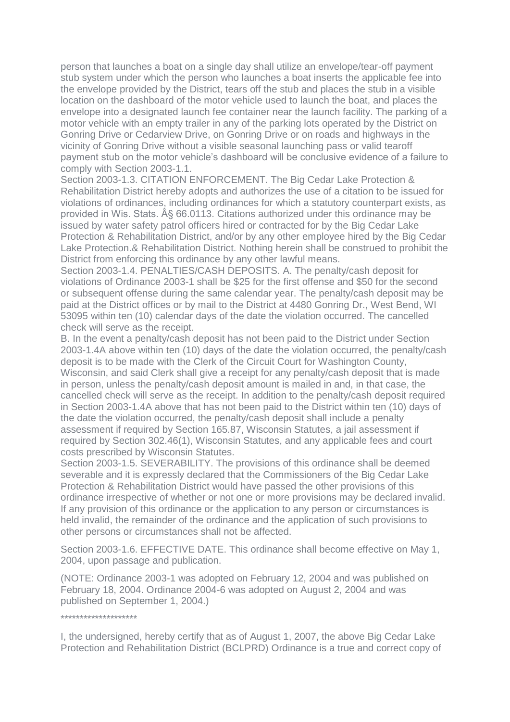person that launches a boat on a single day shall utilize an envelope/tear-off payment stub system under which the person who launches a boat inserts the applicable fee into the envelope provided by the District, tears off the stub and places the stub in a visible location on the dashboard of the motor vehicle used to launch the boat, and places the envelope into a designated launch fee container near the launch facility. The parking of a motor vehicle with an empty trailer in any of the parking lots operated by the District on Gonring Drive or Cedarview Drive, on Gonring Drive or on roads and highways in the vicinity of Gonring Drive without a visible seasonal launching pass or valid tearoff payment stub on the motor vehicle's dashboard will be conclusive evidence of a failure to comply with Section 2003-1.1.

Section 2003-1.3. CITATION ENFORCEMENT. The Big Cedar Lake Protection & Rehabilitation District hereby adopts and authorizes the use of a citation to be issued for violations of ordinances, including ordinances for which a statutory counterpart exists, as provided in Wis. Stats. § 66.0113. Citations authorized under this ordinance may be issued by water safety patrol officers hired or contracted for by the Big Cedar Lake Protection & Rehabilitation District, and/or by any other employee hired by the Big Cedar Lake Protection.& Rehabilitation District. Nothing herein shall be construed to prohibit the District from enforcing this ordinance by any other lawful means.

Section 2003-1.4. PENALTIES/CASH DEPOSITS. A. The penalty/cash deposit for violations of Ordinance 2003-1 shall be \$25 for the first offense and \$50 for the second or subsequent offense during the same calendar year. The penalty/cash deposit may be paid at the District offices or by mail to the District at 4480 Gonring Dr., West Bend, WI 53095 within ten (10) calendar days of the date the violation occurred. The cancelled check will serve as the receipt.

B. In the event a penalty/cash deposit has not been paid to the District under Section 2003-1.4A above within ten (10) days of the date the violation occurred, the penalty/cash deposit is to be made with the Clerk of the Circuit Court for Washington County, Wisconsin, and said Clerk shall give a receipt for any penalty/cash deposit that is made in person, unless the penalty/cash deposit amount is mailed in and, in that case, the cancelled check will serve as the receipt. In addition to the penalty/cash deposit required in Section 2003-1.4A above that has not been paid to the District within ten (10) days of the date the violation occurred, the penalty/cash deposit shall include a penalty assessment if required by Section 165.87, Wisconsin Statutes, a jail assessment if required by Section 302.46(1), Wisconsin Statutes, and any applicable fees and court costs prescribed by Wisconsin Statutes.

Section 2003-1.5. SEVERABILITY. The provisions of this ordinance shall be deemed severable and it is expressly declared that the Commissioners of the Big Cedar Lake Protection & Rehabilitation District would have passed the other provisions of this ordinance irrespective of whether or not one or more provisions may be declared invalid. If any provision of this ordinance or the application to any person or circumstances is held invalid, the remainder of the ordinance and the application of such provisions to other persons or circumstances shall not be affected.

Section 2003-1.6. EFFECTIVE DATE. This ordinance shall become effective on May 1, 2004, upon passage and publication.

(NOTE: Ordinance 2003-1 was adopted on February 12, 2004 and was published on February 18, 2004. Ordinance 2004-6 was adopted on August 2, 2004 and was published on September 1, 2004.)

\*\*\*\*\*\*\*\*\*\*\*\*\*\*\*\*\*\*\*\*

I, the undersigned, hereby certify that as of August 1, 2007, the above Big Cedar Lake Protection and Rehabilitation District (BCLPRD) Ordinance is a true and correct copy of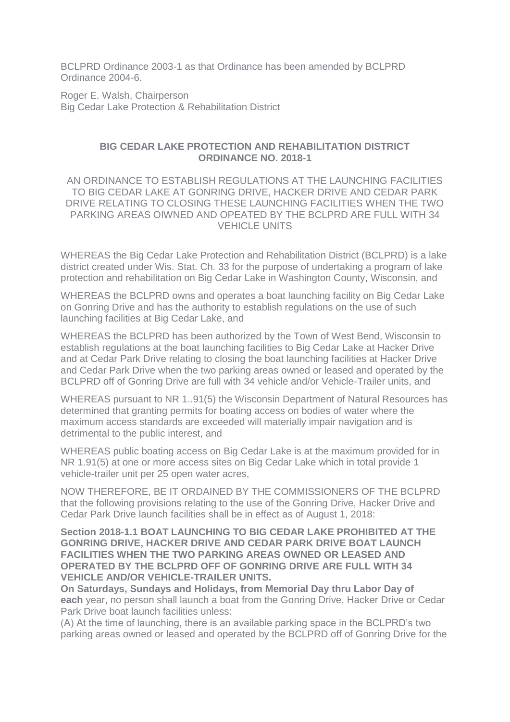BCLPRD Ordinance 2003-1 as that Ordinance has been amended by BCLPRD Ordinance 2004-6.

Roger E. Walsh, Chairperson Big Cedar Lake Protection & Rehabilitation District

## **BIG CEDAR LAKE PROTECTION AND REHABILITATION DISTRICT ORDINANCE NO. 2018-1**

AN ORDINANCE TO ESTABLISH REGULATIONS AT THE LAUNCHING FACILITIES TO BIG CEDAR LAKE AT GONRING DRIVE, HACKER DRIVE AND CEDAR PARK DRIVE RELATING TO CLOSING THESE LAUNCHING FACILITIES WHEN THE TWO PARKING AREAS OIWNED AND OPEATED BY THE BCLPRD ARE FULL WITH 34 VEHICLE UNITS

WHEREAS the Big Cedar Lake Protection and Rehabilitation District (BCLPRD) is a lake district created under Wis. Stat. Ch. 33 for the purpose of undertaking a program of lake protection and rehabilitation on Big Cedar Lake in Washington County, Wisconsin, and

WHEREAS the BCLPRD owns and operates a boat launching facility on Big Cedar Lake on Gonring Drive and has the authority to establish regulations on the use of such launching facilities at Big Cedar Lake, and

WHEREAS the BCLPRD has been authorized by the Town of West Bend, Wisconsin to establish regulations at the boat launching facilities to Big Cedar Lake at Hacker Drive and at Cedar Park Drive relating to closing the boat launching facilities at Hacker Drive and Cedar Park Drive when the two parking areas owned or leased and operated by the BCLPRD off of Gonring Drive are full with 34 vehicle and/or Vehicle-Trailer units, and

WHEREAS pursuant to NR 1..91(5) the Wisconsin Department of Natural Resources has determined that granting permits for boating access on bodies of water where the maximum access standards are exceeded will materially impair navigation and is detrimental to the public interest, and

WHEREAS public boating access on Big Cedar Lake is at the maximum provided for in NR 1.91(5) at one or more access sites on Big Cedar Lake which in total provide 1 vehicle-trailer unit per 25 open water acres,

NOW THEREFORE, BE IT ORDAINED BY THE COMMISSIONERS OF THE BCLPRD that the following provisions relating to the use of the Gonring Drive, Hacker Drive and Cedar Park Drive launch facilities shall be in effect as of August 1, 2018:

**Section 2018-1.1 BOAT LAUNCHING TO BIG CEDAR LAKE PROHIBITED AT THE GONRING DRIVE, HACKER DRIVE AND CEDAR PARK DRIVE BOAT LAUNCH FACILITIES WHEN THE TWO PARKING AREAS OWNED OR LEASED AND OPERATED BY THE BCLPRD OFF OF GONRING DRIVE ARE FULL WITH 34 VEHICLE AND/OR VEHICLE-TRAILER UNITS.** 

**On Saturdays, Sundays and Holidays, from Memorial Day thru Labor Day of each** year, no person shall launch a boat from the Gonring Drive, Hacker Drive or Cedar Park Drive boat launch facilities unless:

(A) At the time of launching, there is an available parking space in the BCLPRD's two parking areas owned or leased and operated by the BCLPRD off of Gonring Drive for the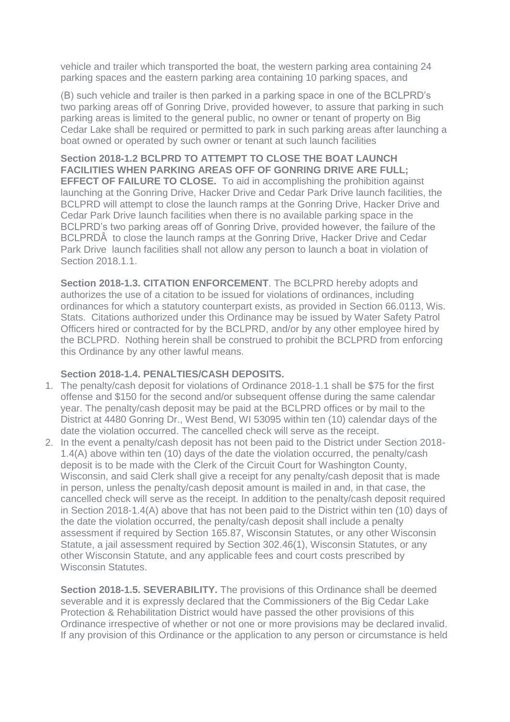vehicle and trailer which transported the boat, the western parking area containing 24 parking spaces and the eastern parking area containing 10 parking spaces, and

(B) such vehicle and trailer is then parked in a parking space in one of the BCLPRD's two parking areas off of Gonring Drive, provided however, to assure that parking in such parking areas is limited to the general public, no owner or tenant of property on Big Cedar Lake shall be required or permitted to park in such parking areas after launching a boat owned or operated by such owner or tenant at such launch facilities

**Section 2018-1.2 BCLPRD TO ATTEMPT TO CLOSE THE BOAT LAUNCH FACILITIES WHEN PARKING AREAS OFF OF GONRING DRIVE ARE FULL; EFFECT OF FAILURE TO CLOSE.** To aid in accomplishing the prohibition against launching at the Gonring Drive, Hacker Drive and Cedar Park Drive launch facilities, the BCLPRD will attempt to close the launch ramps at the Gonring Drive, Hacker Drive and Cedar Park Drive launch facilities when there is no available parking space in the BCLPRD's two parking areas off of Gonring Drive, provided however, the failure of the BCLPRDÂ to close the launch ramps at the Gonring Drive, Hacker Drive and Cedar Park Drive launch facilities shall not allow any person to launch a boat in violation of Section 2018.1.1.

**Section 2018-1.3. CITATION ENFORCEMENT**. The BCLPRD hereby adopts and authorizes the use of a citation to be issued for violations of ordinances, including ordinances for which a statutory counterpart exists, as provided in Section 66.0113, Wis. Stats. Citations authorized under this Ordinance may be issued by Water Safety Patrol Officers hired or contracted for by the BCLPRD, and/or by any other employee hired by the BCLPRD. Nothing herein shall be construed to prohibit the BCLPRD from enforcing this Ordinance by any other lawful means.

## **Section 2018-1.4. PENALTIES/CASH DEPOSITS.**

- 1. The penalty/cash deposit for violations of Ordinance 2018-1.1 shall be \$75 for the first offense and \$150 for the second and/or subsequent offense during the same calendar year. The penalty/cash deposit may be paid at the BCLPRD offices or by mail to the District at 4480 Gonring Dr., West Bend, WI 53095 within ten (10) calendar days of the date the violation occurred. The cancelled check will serve as the receipt.
- 2. In the event a penalty/cash deposit has not been paid to the District under Section 2018- 1.4(A) above within ten (10) days of the date the violation occurred, the penalty/cash deposit is to be made with the Clerk of the Circuit Court for Washington County, Wisconsin, and said Clerk shall give a receipt for any penalty/cash deposit that is made in person, unless the penalty/cash deposit amount is mailed in and, in that case, the cancelled check will serve as the receipt. In addition to the penalty/cash deposit required in Section 2018-1.4(A) above that has not been paid to the District within ten (10) days of the date the violation occurred, the penalty/cash deposit shall include a penalty assessment if required by Section 165.87, Wisconsin Statutes, or any other Wisconsin Statute, a jail assessment required by Section 302.46(1), Wisconsin Statutes, or any other Wisconsin Statute, and any applicable fees and court costs prescribed by Wisconsin Statutes.

**Section 2018-1.5. SEVERABILITY.** The provisions of this Ordinance shall be deemed severable and it is expressly declared that the Commissioners of the Big Cedar Lake Protection & Rehabilitation District would have passed the other provisions of this Ordinance irrespective of whether or not one or more provisions may be declared invalid. If any provision of this Ordinance or the application to any person or circumstance is held